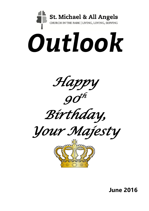

**June 2016**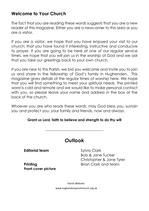### **Welcome to Your Church**

The fact that you are reading these words suggests that you are a new reader of this magazine. Either you are a newcomer to this area or you are a visitor.

If you are a visitor, we hope that you have enjoyed your visit to our church; that you have found it interesting, instructive and conducive to prayer. If you are going to be here at one of our regular service times, we hope that you will join us in the worship of God and we ask that you take our greetings back to your own church.

If you are new to this Parish, we bid you welcome and invite you to join us and share in the fellowship of God's family in Hughenden. This magazine gives details of the regular times of worship here. We hope that you will find something to meet your spiritual needs. The printed word is cold and remote and we would like to make personal contact with you, so please leave your name and address in the box at the back of the church.

Whoever you are who reads these words, may God bless you, sustain you and protect you, your family and friends, now and always.

#### **Grant us Lord, faith to believe and strength to do thy will**

\_\_\_\_\_\_\_\_\_\_\_\_\_\_\_\_\_\_\_\_\_\_\_\_\_\_\_\_\_\_\_

| <b>Outlook</b> |  |
|----------------|--|
|----------------|--|

#### **Editorial team** Sylvia Clark

**Front cover picture**

Bob & Jane Tucker Christopher & Jane Tyrer **Printing Clark and team** Brian Clark and team

> Parish Website: www.hughendenparishchurch.org.uk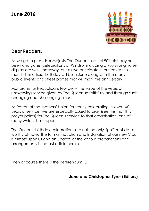# **June 2016**



### **Dear Readers,**

As we go to press, Her Majesty The Queen's actual 90<sup>th</sup> birthday has been and gone; celebrations at Windsor including a 900 strong horse display are well underway, but as we anticipate in our cover this month, her official birthday will be in June along with the many public events and street parties that will mark the anniversary.

Monarchist or Republican, few deny the value of the years of unswerving service given by The Queen so faithfully and through such changing and challenging times.

As Patron of the Mothers' Union (currently celebrating its own 140 years of service) we are especially asked to pray (see this month's prayer points) for The Queen's service to that organisation: one of many which she supports.

The Queen's birthday celebrations are not the only significant dates worthy of note: the formal Induction and Installation of our new Vicar is almost upon us and an update of the various preparations and arrangements is the first article herein.

Then of course there is the Referendum……

#### **Jane and Christopher Tyrer (Editors)**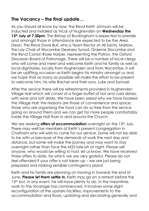### **The Vacancy – the final update…**

As you should all know by now, the Revd Keith Johnson will be inducted and installed as Vicar of Hughenden on **Wednesday the**  13<sup>th</sup> July at 7.30pm. The Bishop of Buckingham is expected to preside and amongst those in attendance are expected to be the Area Dean, The Revd Dave Bull, who is Team Rector at All Saints, Marlow, the Lay Chair of Wycombe Deanery Synod, Graeme Slocombe and the Revd Canon Rosie Harper, representing the Patron, the Oxford Diocesan Board of Patronage. There will be a number of local clergy who will come and meet and welcome Keith and his family as well as local dignitaries, locally from Hughenden and from Wycombe. It will be an uplifting occasion as Keith begins his ministry amongst us and we hope that as many as possible will make the effort to be present to welcome him, his wife Rachel and their sons, Luke and Samuel.

After the service there will be refreshments provided in Hughenden Village Hall which will consist of a finger buffet of hot and cold dishes, with wine and soft drinks. We have been asked why we have booked the Village Hall: the reasons are those of convenience and space: those who are organising the food can do so free from the service going on around them and we can get far more people comfortably inside the Village Hall than in and around the Church.

We are seeking **offers of accommodation** overnight on the 13<sup>th</sup> July. There may well be members of Keith's present congregation in Chatham who will wish to come for our service. Some will not be able to be with us because of the demands of work the next day and distance, but some will make the journey and may want to stay overnight rather than face the M25 late-ish at night. Please will anyone, who would be willing to host, let us know. We have received three offers to date, for which we are very grateful. Please do not feel offended if your offer is not taken up – we are just being prepared and making sensible contingency plans!

Keith and his family are planning on moving in towards the end of June. **Please let them settle in.** Keith may go on a retreat before the 13<sup>th</sup> but, in any event, he will have plenty to do. In the meantime, work to the Vicarage has commenced. It involves some slight reconfiguration of the upstairs facilities, improvements to the accommodation and floors, updating and decorating generally and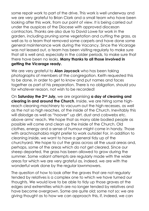some repair work to part of the drive. This work is well underway and we are very grateful to Brian Clark and a small team who have been looking after this work, from our point of view. It is being carried out under the auspices of the Diocese with approved diocesan contractors. Thanks are also due to David Lowe for work in the garden, including pruning some vegetation and cutting the grass, as well as to a team that removed some carpets and have done some general maintenance work during the Vacancy. Since the Vicarage was not leased out, a team has been visiting regularly to make sure that all is well and, especially in the colder periods, to make sure that there have been no leaks. **Many thanks to all those involved in getting the Vicarage ready.**

We are very grateful to **Alan Jaycock** who has been taking photographs of members of the congregation. Keith requested this to be done, in order to get to know and put names and faces together as part of his preparation. There is no obligation, should you for whatever reason, not wish to be recorded!

On **Saturday the 2nd July,** we are organising **a day of cleaning and clearing in and around the Church**. Inside, we are hiring some highreach cleaning machinery to vacuum out the high recesses, as well as the not so high reaches, of the inside of the Church. Inevitably this will dislodge as well as "hoover" up dirt, dust and cobwebs etc. above arms' reach. We hope that as many able bodied people as possible will come and clean up the inside of the Church. Old clothes, energy and a sense of humour might come in handy. Those with arachnophobia might prefer to work outside! For, in addition to cleaning inside, we want to have a general tidy up of the churchyard. We hope to cut the grass across all the usual areas and, perhaps, some of the areas which do not get cleared. Since our sheep departed, the grass has been allowed to grow during the summer. Some valiant attempts are regularly made with the wider areas for which we are very grateful as, indeed, we are with the wonderful work done by the regular lawnmowers.

The question of how to look after the graves that are not regularly tended by relatives is a complex one to which we have turned our thoughts. We would love to be able to tidy up those graves at the edges and extremities which are no longer tended by relatives and have become overgrown. Some are quite old; some not so: we are giving thought as to how we can approach this, if, indeed, we can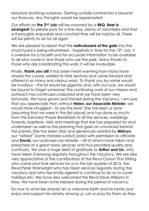resource anything ourselves. Getting outside contractors is beyond our finances. Any thoughts would be appreciated.

Our efforts on **the 2nd July** will be crowned by a **BBQ. Beer is arranged!** So please pray for a fine day, plenty of volunteers and that a thoroughly enjoyable and convivial time will be had by all. There will be plenty to do for all ages!

We are pleased to report that the **noticeboard at the gate** into the churchyard is being refurbished – hopefully in time for the  $13<sup>th</sup>$  July. It is overdue for a facelift and for accurate information to be available to all who come in and those who use the park. Many thanks to those who are coordinating this work: it will be invaluable.

Finally, **thank you all!** It has been heart-warming how many have stayed the course, added to their services and come forward and offered in so many and various ways. To thank you by name would be invidious – the list would be gigantic and, with our luck, we would be bound to forget someone! The continuing work of our mission and outreach has continued unabated and we have been very fortunate. We have grown and thrived during the Vacancy. I am sure that you appreciate that, without **Helen, our Associate Minister**, we would have struggled – to say the least. She has kept us sane [assuming that we were in the first place] and has done so much: from the Saturday Prayer Breakfasts to all the services, weddings, funerals, baptisms, visits and meetings that she has prepared for and undertaken as well as the planning that goes on unnoticed behind the scenes. She has been ably and generously assisted by **Melvyn,**  our "retired" [some mistake surely!!] priest with permission to officiate and **David,** our Licenced Lay Minister – all of whom have taken and preached at a great many services and thus provided quality and continuity. We owe a huge debt of gratitude to **Arthur and Lin,** who have taken Evensong regularly throughout the Vacancy. We are also very appreciative of the contributions of the Revd Canon Tina Stirling who came and took services for us in the last quarter of 2015, the Revd Peter Wainwright who has taken services regularly during the vacancy and who has kindly agreed to continue to do so to cover holidays etc. We have also welcomed the Revd Steve Williams in May. We have been richly blessed during this period of vacancy.

So now to what lies ahead: let us welcome Keith and his family and enjoy and support his ministry among us. Let us pray for them as they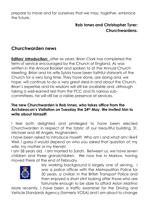prepare to move and for ourselves that we may, together, embrace the future.

### **Rob Innes and Christopher Tyrer: Churchwardens.**

### **Churchwarden news**

**Editors' introduction:** after six years, Brian Clark has completed the term of service encouraged by the Church of England. As was written in the Annual Booklet and spoken to at the Annual Church Meeting, Brian and his wife Sylvia have been faithful stalwarts of the Church for a very long time. They have done, are doing and, we hope, will continue to do a very great deal in and about the Church. Brian's expertise and his wisdom will still be available and, although taking a well-earned rest from the PCC and its various subcommittees, he will still be a visible presence at services.

#### **The new Churchwarden is Rob Innes, who takes office from the Archdeacon's Visitation on Tuesday the 24th May. We invited him to write about himself!**

I feel both delighted and privileged to have been elected Churchwarden in respect of the fabric of our beautiful building, St. Michael and All Angels, Hughenden.

I have been asked to introduce myself! Who am I and what am I like? Well, I guess it would depend on who you asked that question of: my wife, my mother or my friends!

I am 58 years old. I am married to Sarah. Between us, we have seven children and three grandchildren. We now live in Marlow, having moved there at the end of February.



My working background is largely one of serving. I was a police officer with the Metropolitan Police for 30 years, a civilian in the British Transport Police and then enjoyed a short stint looking after those who are fortunate enough to be able to afford Aston Martins!

More recently, I have been a traffic examiner for the Driving and Vehicle Standards Agency (formerly VOSA) and I am about to change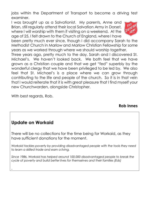jobs within the Department of Transport to become a driving test examiner.

I was brought up as a Salvationist. My parents, Anne and Brian, still regularly attend their local Salvation Army in Dorset, where I will worship with them if visiting on a weekend. At the age of 25, I felt drawn to the Church of England, where I have



been pretty much ever since, though I did accompany Sarah to the Methodist Church in Marlow and Marlow Christian Fellowship for some years as we worked through where we should worship together.

Three years ago, pretty much to the day, Sarah and I discovered St. Michael's. We haven't looked back. We both feel that we have grown as a Christian couple and that we get "fed" superbly by the wonderful clergy that we have been privileged to be led by. We also feel that St. Michael's is a place where we can grow through contributing to the life and people of the church. So it is in that vein that I would reiterate that it is with great pleasure that I find myself your new Churchwarden, alongside Christopher.

With best regards, Rob.

#### **Rob Innes**

### **Update on Workaid**

.

There will be no collections for the time being for Workaid, as they have sufficient donations for the moment.

*Workaid tackles poverty by providing disadvantaged people with the tools they need to learn a skilled trade and earn a living.*

*Since 1986, Workaid has helped around 100,000 disadvantaged people to break the cycle of poverty and build better lives for themselves and their families (Eds)*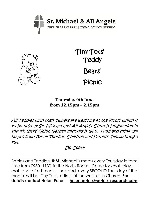



Tiny Tots' **Teddy** Bears' Picnic

### **Thursday 9th June from 12.15pm – 2.15pm**

All Teddies with their owners are welcome at the Picnic which is to be held at St. Michael and All Angels Church Hughenden in the Mothers' Union Garden (indoors if wet). Food and drink will be provided for all Teddies, Children and Parents. Please bring a rug.

### Do Come!

Babies and Toddlers @ St. Michael's meets every Thursday in term time from 0930 -1130 in the North Room. Come for chat, play, craft and refreshments. Included, every SECOND Thursday of the month, will be 'Tiny Tots', a time of fun worship in Church**. For details contact Helen Peters – [helen.peters@peters-research.com](mailto:helen.peters@peters-research.com)**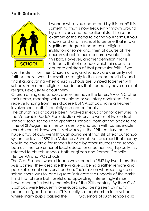### **Faith Schools**



I wonder what you understand by this term? It is something that is now frequently thrown around by politicians and educationalists. It is also an example of the need to define your terms. If you understand a faith school to be one that is to a significant degree funded by a religious institution of some kind, then of course all the church schools in our local area would fit into this box. However, another definition that is offered is that of a school which aims only to educate children of that particular faith. If we

use this definition then Church of England schools are certainly not faith schools. I would subscribe strongly to the second possibility and I find it aggravating when church schools are lumped together with schools from other religious foundations that frequently have an air of religious exclusivity about them.

Church of England schools can either have the letters VA or VC after their name, meaning voluntary aided or voluntary controlled. Both receive funding from their diocese but VA schools have a heavier involvement, both financially and educationally.

The church has of course been involved in education for centuries. In the Venerable Bede's Ecclesiastical History he writes of two sorts of schools: song schools and grammar schools, both dating back to the time of St Augustine in the sixth century and both with considerable church control. However, it is obviously in the 19th century that a huge array of acts went through parliament that still affect our school system today. In 1897 the Voluntary Schools Act decreed that money would be available for schools funded by other sources than school boards ( the forerunner of local educational authorities.) Typically this referred to church schools, both Anglican and Roman Catholic. Hence VA and VC schools.

The C of E school where I teach was started in 1847 by two sisters, the Miss Carters. They describe the village as being a rather remote and poor settlement and very heathen. Their mission when setting up a school there was to, and I quote: 'educate the ungodly of the parish'. I find that phrase both useful and appealing. Interestingly it must have been quite lost by the middle of the 20th century. By then C of E schools were frequently over-subscribed, being seen by many parents as 'good' schools. (This usually is a euphemism for a school where many pupils passed the 11+. ) Governors of such schools also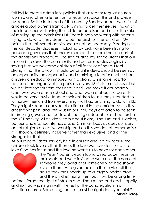felt led to create admissions policies that asked for regular church worship and often a letter from a vicar to support this and provide evidence. By the latter part of the century Sunday papers were full of articles about parents frantically aiming to get themselves known at their local church, having their children baptised and all for the sake of moving up the admissions list. There is nothing wrong with parents trying to do what they deem to be the best for their children. My point is that this sort of activity should not be necessary. Pleasingly, in the last decade, dioceses, including Oxford, have been trying to persuade governors that church membership should not be part of the admissions procedure. The sign outside my school states that our mission is to serve the community and our prospectus begins by saying that we welcome children of all faiths or of none. I feel strongly that this is how it should be and it indeed should be seen as an opportunity, an opportunity and a privilege to offer unchurched children an education imbued with a strong Christian ethos. 'To educate the ungodly of the parish' is a very 1840s turn of phrase, but we deviate too far from that at our peril. We make it abundantly clear who we are as a school and what we are about, so parents would be very unwise to send their children to us if they intended to withdraw their child from everything that had anything to do with RE. They might spend a considerable time out in the corridor. As it is this doesn't happen; and little Muslim or Hindu boys are often to be seen in dressing gowns and tea towels, acting as Joseph or a shepherd in the KS1 nativity. All children learn about Islam, Hinduism and Judaism, but our whole school life has a solid Christian basis as does our daily act of religious collective worship and on this we do not compromise. It is, though, definitely inclusive rather than exclusive; and all the stronger for that.

At our recent Easter service, held in church and led by Year 4, the children took love as their theme: the love we have for Jesus, the love God has for us and the love he wants us to have for each other.



The Year 4 parents each found a red paper heart on their seats and were invited to write on it the name of someone they loved or of someone who had shown love to them. At a given point in the service all the adults took their hearts up to a large wooden cross and the children hung them up. It will be a long time

before I forget the sight of Muslim and Hindu mums and dads happily and spiritually joining in with the rest of the congregation in a Christian church. Something that just must be right don't you think?

**Susan Brice**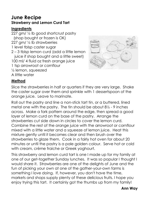### **June Recipe Strawberry and Lemon Curd Tart**

#### **Ingredients**

227 gm/ ½ lb good shortcrust pastry (shop bought or frozen is OK) 227 am/ $\frac{1}{2}$  lb strawberries 1 level tblsp caster sugar 2 – 3 tblsp lemon curd (add a little lemon juice if shop bought and a little sweet) 100 ml/ 4 fluid oz fresh orange juice 1 tsp arrowroot or cornflour ½ lemon, squeezed A little water



#### **Method**

Slice the strawberries in half or quarters if they are very large. Shake the caster sugar over them and sprinkle with 1 dessertspoon of the orange juice. Leave to marinate.

Roll out the pastry and line a non-stick tart tin, or a buttered, lined metal one with the pastry. The tin should be about 8½ - 9 inches across. Make a fork pattern around the edge, then spread a good layer of lemon curd on the base of the pastry. Arrange the strawberries cut side down in circles to cover the lemon curd. Combine the rest of the orange juice with the arrowroot or cornflour mixed with a little water and a squeeze of lemon juice. Heat this mixture gently until it becomes clear and then brush over the strawberries to glaze them. Cook in a fairly hot oven for about 20 minutes or until the pastry is a pale golden colour. Serve hot or cold with cream, crème fraiche or Greek yoghourt.

This strawberry and lemon curd tart is one I made up for my family at one of our get-together Sunday lunches. It was so popular I thought I would share it. Strawberries are one of the delights of June and the fun of picking your own at one of the gather-your-own farms is something I love doing. If, however, you don't have the time, markets and shops supply plenty of these delicious fruits. I hope you enjoy trying this tart. It certainly got the thumbs up from my family!

#### **Ann Way**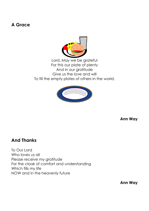### **A Grace**



Lord, May we be grateful For this our plate of plenty And in our gratitude Give us the love and will To fill the empty plates of others in the world.



**Ann Way**

#### **And Thanks**

To Our Lord Who loves us all Please receive my gratitude For the cloak of comfort and understanding Which fills my life NOW and in the heavenly future

**Ann Way**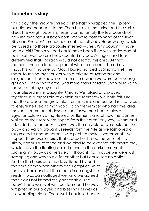### **Jochebed's story.**

"It's a boy," the midwife smiled as she hastily wrapped the slippery bundle and handed it to me. Then her eyes met mine and the smile died. The weight upon my heart was not simply the few pounds of new life that had just been born. We were both thinking of the river Nile and Pharaoh's pronouncement that all baby Hebrew boys would be tossed into those crocodile infested waters. Why couldn't it have been a girl? Then my heart could have been filled with joy instead of pain. But even before I had counted my baby's fingers and toes I determined that Pharaoh would not destroy this child. At that moment I had no idea, no plan of what to do and I shared my thoughts with no one but God. I barely noticed as Shiphrah left the room, touching my shoulder with a mixture of sympathy and resignation. I had known her from a time when we were both young girls and I knew she feared God more than Pharaoh. She would keep the secret of my boy child.

I was blessed in my daughter Miriam. We talked and prayed together. It is impossible to explain but somehow we both felt sure that there was some great plan for this child, and our part in that was to ensure he lived to manhood. I can't remember who had the idea, maybe it came out of desperation, for we had heard tales of Egyptian soldiers visiting Hebrew settlements and of how the women wailed as their sons were ripped from their arms. Anyway, Miriam and I decided that actually the river was the only place we could put the baby and Aaron brought us reeds from the Nile as we fashioned a rough cradle and smeared it with pitch to make it waterproof... we hoped. There were stories that crocodiles hated the smell of this sticky, noxious substance and we tried to believe that this meant they would leave the floating basket alone. In the darker moments, suckling my baby as others slept, I thought that maybe we were just

swapping one way to die for another but I could see no option. And so the hours and the days slipped by and the time came when Miriam and I crept down to the river bank and set the cradle in amongst the reeds. It was camouflaged well and we agreed that it was not immediately noticeable. The baby's head was wet with our tears and he was wrapped in our prayers and blessings as well as his swaddling cloths. Then, well, I couldn't bear to

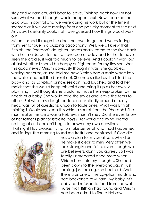stay and Miriam couldn't bear to leave. Thinking back now I'm not sure what we had thought would happen next. Now I can see that God was in control and we were doing his work but at the time it seemed as if we were moving from one panicky moment to the next. Anyway, I certainly could not have guessed how things would work out.

Miriam rushed through the door, her eyes large, and words falling from her tongue in a puzzling cacophony. Well, we all knew that Bithiah, the Pharaoh's daughter, occasionally came to the river bank with her maids, but for her to have come today and for her to have seen the cradle, it was too much to believe. And I couldn't work out at first whether I should be happy or frightened for my tiny son. Was this good news? Miriam obviously thought it was. She gabbled, waving her arms, as she told me how Bithiah had a maid wade into the water and pull the basket out. She had smiled as she lifted the baby and, as Egyptian princesses can, had laughed and told her maids that she would keep this child and bring it up as her own. A plaything I had thought, she would not have her sleep broken by the needs of a baby. She would take the smiles and leave the tears to others. But while my daughter danced excitedly around me, my head was full of questions; uncomfortable ones. What was Bithiah thinking? Would she keep this whim a secret from the Pharaoh? She must realise this child was a Hebrew, mustn't she? Did she even know of her father's plan for Israelite boys? Her world and mine shared nothing at all. I couldn't begin to answer my own questions. That night I lay awake, trying to make sense of what had happened and failing. The morning found me fretful and confused. If God did



have a plan for my small son, why didn't he make it clear to me? Very often we lack strength and faith, even though we are believers, don't you agree? So I was totally unprepared once more when Miriam burst into my thoughts. She had been down to the riverbank again, just looking, just looking, she had said. And, there was one of the Egyptian maids who had beckoned to Miriam. My baby, MY baby had refused to feed from the wet nurse that Bithiah had found and Miriam had been asked to find a Hebrew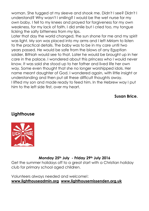woman. She tugged at my sleeve and shook me. Didn't I see? Didn't I understand? Why wasn't I smiling? I would be the wet nurse for my own baby. I fell to my knees and prayed for forgiveness for my own weakness, for my lack of faith. I did smile but I cried too, my tongue licking the salty bitterness from my lips.

Later that day the world changed, the sun shone for me and my spirit was light. My son was placed into my arms and I left Miriam to listen to the practical details. The baby was to be in my care until two years passed. He would be safe from the blows of any Egyptian soldier, Bithiah would see to that. Later he would be brought up in her care in the palace. I wondered about this princess who I would never know. It was said she stood up to her father and lived life her own way. Some even thought that she no longer worshipped idols. Her name meant daughter of God. I wondered again, with little insight or understanding and then put all these difficult thoughts away. I lifted my son and made ready to feed him. In the Hebrew way I put him to the left side first, over my heart.

**Susan Brice.**

**Lighthouse**



#### **Monday 25th July - Friday 29th July 2016**

Get the summer holidays off to a great start with a Christian holiday club for primary school aged children.

Volunteers always needed and welcome!: **[www.lighthouseadmin.org](http://www.lighthouseadmin.org/) [www.lighthousemissenden.org.uk](http://www.lighthousemissenden.org.uk/)**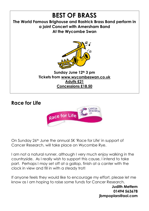

**Race for Life**



On Sunday 26th June the annual 5K 'Race for Life' in support of Cancer Research, will take place on Wycombe Rye.

I am not a natural runner, although I very much enjoy walking in the countryside. As I really wish to support this cause, I intend to take part. Perhaps I may set off at a gallop, finish at a canter with the clock in view and fill in with a steady trot!

If anyone feels they would like to encourage my effort, please let me know as I am hoping to raise some funds for Cancer Research.

> **Judith Mettem 01494 563678 jbmpoplars@aol.com**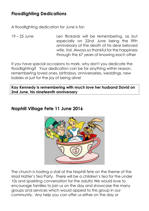### **Floodlighting Dedications**

A floodlighting dedication for June is for:

19 – 25 June Len Rickards will be remembering, as but especially on 22nd June being the fifth anniversary of the death of his dear beloved wife, Val. Always so thankful for the happiness through the 67 years of knowing each other

If you have special occasions to mark, why don't you dedicate the floodlighting? Your dedication can be for anything within reason, remembering loved ones, birthdays, anniversaries, weddings, new babies or just for the joy of being alive!

**Kay Kennedy is remembering with much love her husband David on 2nd June, his nineteenth anniversary**

### **Naphill Village Fete 11 June 2016**



The church is hosting a stall at the Naphill fete on the theme of the Mad Hatter's Tea Party. There will be a children's tea for the under 10s and sparkling conversation for the adults! We would love to encourage families to join us on the day and showcase the many groups and services which would appeal to this group in our community. Any help you can offer us either on the day or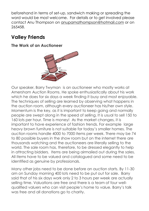beforehand in terms of set-up, sandwich making or spreading the word would be most welcome. For details or to get involved please contact Anu Thompson on [anupamathompson@hotmail.com](mailto:anupamathompson@hotmail.com) or on 265458.

# **Valley Friends**

**The Work of an Auctioneer**



Our speaker, Barry Twyman is an auctioneer who mostly works at Amersham Auction Rooms. He spoke enthusiastically about his work which he does for six days a week finding it busy and most enjoyable. The techniques of selling are learned by observing what happens in the auction room, although every auctioneer has his/her own style. Momentum is the key, as it is important to keep going and normally people are swept along in the speed of selling. It is usual to sell 150 to 160 lots per hour. Time is money! As the market changes, it is important to have experience of fashion trends. For example large heavy brown furniture is not suitable for today's smaller homes. The auction rooms handle 4000 to 7000 items per week. There may be 74 to 80 possible buyers in the show room but on the internet there are thousands watching and the auctioneers are literally selling to the world. The sale room has, therefore, to be dressed elegantly to help in attracting bidders. Items are being airmailed out during the sales. All items have to be valued and catalogued and some need to be identified as genuine by professionals.

Many other jobs need to be done before an auction starts. By 11-30 am on Sunday morning 400 lots need to be put out for sale. Barry said that of his six days work only 2 to 3 hours per week are actually selling time. Valuations are free and there is a team of four wellqualified valuers who can visit people's home to value. Barry's talk was free and all donations go to charity.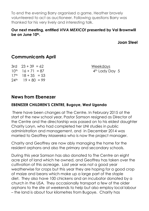To end the evening Barry organised a game, Heather bravely volunteered to act as auctioneer. Following questions Barry was thanked for his very lively and interesting talk.

#### **Our next meeting, entitled** *VIVA MEXICO!* **presented by Val Brownwill be on June 10th.**

**Joan Steel**

### **Communicants April**

 $3rd$   $23 + 39 = 62$  Weekdays  $10^{th}$   $16 + 71 = 87$  4<sup>th</sup> Lady Day 5  $17<sup>th</sup>$   $18 + 35 = 53$  $24<sup>th</sup>$  19 + 80 = 99

#### **News from Ebenezer**

#### **EBENEZER CHILDREN'S CENTRE, Bugoye, West Uganda**

There have been changes at The Centre. In February 2015 at the start of the new school year, Pastor Samson resigned as Director of the Centre and the directorship was passed on to his eldest daughter Charity Loryn, who had completed her UNI studies in public administration and management, and in December 2014 was married to Geoffrey Masereka who is now the project manager.

Charity and Geoffrey are now ably managing the home for the resident orphans and also the primary and secondary schools.

During this year Samson has also donated to The Centre an eight acre plot of land which he owned, and Geoffrey has taken over the cultivation of this acreage. Last year was not a good year weatherwise for crops but this year they are hoping for a good crop of maize and beans which make up a large part of the staple diet. They also have 100 chickens and an incubator donated by a church in the USA. They occasionally transport a few of the older orphans to the site at weekends to help but also employ local labour – the land is about four kilometres from Bugoye. Charity has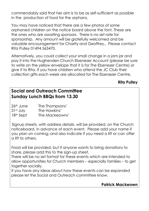commendably said that her aim is to be as self-sufficient as possible in the production of food for the orphans.

You may have noticed that there are a few photos of some orphaned children on the notice board above the font. These are the ones who are awaiting sponsors. There is no set rate for sponsorship. Any amount will be gratefully welcomed and be valuable encouragement for Charity and Geoffrey.. Please contact Rita Pulley 01494 563470.

Alternatively, you could collect your small change in a jam jar and pay it into the Hughenden Church Ebenezer Account (please be sure to write on the yellow envelope that it is for The Ebenezer Centre) or give it to Rita. If you have children who attend the JC Club their collection gifts each week are allocated for The Ebenezer Centre.

#### **Rita Pulley**

### **Social and Outreach Committee Sunday Lunch BBQs from 13.30**

| $26th$ June | The Thompsons' |
|-------------|----------------|
| $31st$ July | The Hawkins'   |
| $18th$ Sept | The Mackeowns' |

Signup sheets, with address details, will be provided, on the Church noticeboard, in advance of each event. Please add your name if you plan on coming; and also indicate if you need a lift or can offer a lift to others.

Food will be provided, but if anyone wants to bring donations to share, please add this to the sign-up sheet.

There will be no set format for these events which are intended to allow opportunities for Church members – especially families – to get together socially.

If you have any ideas about how these events can be expanded please let the Social and Outreach committee know.

#### **Patrick Mackeown**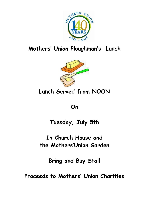

# **Mothers' Union Ploughman's Lunch**



**Lunch Served from NOON**

**On**

**Tuesday, July 5th**

**In Church House and the Mothers'Union Garden**

**Bring and Buy Stall**

**Proceeds to Mothers' Union Charities**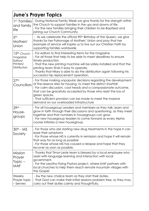| <b>June's Prayer Topics</b>                                                  |                                                                                                                                                                                                                                                                                                                                                                                                      |  |  |
|------------------------------------------------------------------------------|------------------------------------------------------------------------------------------------------------------------------------------------------------------------------------------------------------------------------------------------------------------------------------------------------------------------------------------------------------------------------------------------------|--|--|
| 1 <sup>st</sup> Families<br>and family<br>life                               | - During National Family Week we give thanks for the strength within<br>the Church to support families in the ups and downs of life.<br>- For the new families bringing their children to be Baptised and<br>joining our Church Community.                                                                                                                                                           |  |  |
| 5 <sup>th</sup><br>Mothers'<br>Union                                         | - As we celebrate the official 90 <sup>th</sup> Birthday of the Queen, we give<br>thanks for her Patronage of Mothers' Union and pray that her<br>example of service will inspire us to live out our Christian Faith by<br>supporting families worldwide.                                                                                                                                            |  |  |
| 15 <sup>th</sup> Church<br>magazine<br>Editors/<br>Printers/<br>Distributors | - For editors to find interesting items for the magazine<br>- For all those that help to be able to meet deadlines to ensure<br>timely production<br>- That the new printing machine will be safely installed and that the<br>printing team finds it easy to operate.<br>- Thanks that Hilary is able to do the distribution again following his<br>successful hip replacement operation.            |  |  |
| 27 <sup>th</sup><br>Councillors                                              | - For those making unpopular decisions regarding the development<br>of the reserve sites for housing, to meet the district shortfall<br>- For calm discussion, cool heads and a compassionate outcome,<br>that can be gracefully accepted by those who resist the loss of<br>green spaces.<br>- That sufficient provision can be made to meet the massive<br>demand on our overloaded infrastructure |  |  |
| 29th -<br>House-<br>groups                                                   | - For all housegroup Leaders and members as they talk, learn and<br>grow in faith through their discussions and questioning, as they meet<br>together and that numbers in housegroups can grow<br>- For new housegroup leaders to come forward as every Alpha<br>course initiates a new housegroup                                                                                                   |  |  |
| $30th - MS$<br>Society                                                       | - For those who are starting new drug treatments in the hope it can<br>ease their symptoms<br>-For those whose MS is currently in remission and hope it will remain<br>that way for as long as possible<br>- For those whose MS has caused a relapse and hope that they<br>recover as soon as possible.                                                                                              |  |  |
| Mission<br>Prayer<br>$Topic -$<br><b>MAF</b>                                 | - Thanks that Timor-Leste team is blessed by a local employee who<br>assist with language learning and interaction with local<br>government.<br>- For the Lesotho Flying Pastors project, where MAF partners with<br>local churches to help them reach remote mountain villages with<br>the Gospel                                                                                                   |  |  |
| Weekly<br>Prayer topic<br>- Servers                                          | - For the new chalice team as they start their duties.<br>- That God can make their initial sessions problem free, so they may<br>carry out their duties calmly and thoughtfully.                                                                                                                                                                                                                    |  |  |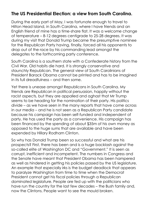### **The US Presidential Election: a view from South Carolina.**

During the early part of May, I was fortunate enough to travel to Hilton Head Island, in South Carolina, where I have friends and an English friend of mine has a time-share flat. It was a welcome change of temperature – 8-12 degrees centigrade to 25-28 degrees. It was during my visit that Donald Trump became the presumptive nominee for the Republican Party having, finally, forced all his opponents to drop out of the race by his commanding lead amongst the delegates to the forthcoming party conference.

South Carolina is a southern state with a Confederate history from the Civil War. Old habits die hard. It is strongly conservative and staunchly Republican. The general view of South Carolinians of President Barack Obama cannot be printed and has to be imagined in its full dreadfulness – and then some.

Yet there is unease amongst Republicans in South Carolina. My friends are Republican in political persuasion, happily without the racist aspects, but they are appalled and aghast that Mr Trump seems to be heading for the nomination of their party. His politics divide – as we have seen in the many reports that have come across in our media – and he is not seen as a Republican Party candidate because his campaign has been self-funded and independent of party. He has used the party as a convenience. His campaign has been financed by the spending of about \$35m of his own money as opposed to the huge sums that are available and have been expended by Hillary Rodham Clinton.

So why has Donald Trump been so successful and what are his prospects? First, there has been and is a huge backlash against the so-called elite of Washington DC and "Government." It is seen as corrupt, inefficient and incompetent. The numbers in Congress and the Senate have meant that President Obama has been hampered as well as hindered in getting his policies passed by the US legislature. An example that especially irks is the budget deadlock that appears to paralyze Washington from time to time when the Democrat President cannot get his fiscal policies through a Republican dominated legislature. People are fed up with the politicians who have run the country for the last few decades – the Bush family and, now the Clintons. People want to see the mould broken.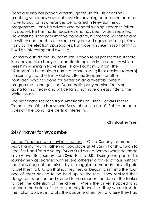Donald Trump has played a canny game, so far. His headlinegrabbing speeches have not cost him anything because he does not have to pay for his utterances being aired in television news programmes – only his adverts and general running expenses fall on his pocket. He has made headlines and has been widely reported. Now that he is the presumptive candidate, his rhetoric will soften and he will try and reach out to some very bruised egos and a suspicious Party as the election approaches. For those who like this sort of thing, it will be interesting and exciting.

For many outside the US, not much is given to his prospects but there is a considerable body of respectable opinion in the country which sees him winning in November. Hillary Rodham Clinton [the "Rodham" is her maiden name and she is using it for obvious reasons] – assuming that she finally defeats Bernie Sanders – another "outsider" who has done far better on an anti-establishment programme – and gets the Democratic party nomination, is not going to find it easy and will certainly not have an easy ride to the White House.

The nightmare scenario from Americans on Hilton Head? Donald Trump in the White House and Boris Johnson in No 10. Politics on both sides of "the pond" are getting interesting!!

#### **Christopher Tyrer**

### **24/7 Prayer for Wycombe**

Acting Together with Loving Kindness - On a Sunday afternoon in March a multi-faith gathering took place at All Saints Parish Church to hear first hand from a young Syrian Kurd called Ahmad who had made a very eventful journey from Syria to the U.K. During one part of his journey he was secreted with several others in a tanker of flour, without the knowledge of the driver, by a smuggler; somebody they all paid to get them to U.K. On that journey they all began to sink into the flour, one of them having to be held up by the rest. They realised their dangerous situation and started to hammer on the side of the tanker to get the attention of the driver. When the driver stopped and opened the hatch of the tanker they found that they were close to the Italian border, in totally the opposite direction to where they had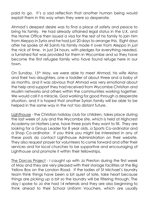paid to go. It's a sad reflection that another human being would exploit them in this way when they were so desperate.

Ahmad's deepest desire was to find a place of safety and peace to bring his family. He had already attained legal status in the U.K. and the Home Office then issued a visa for the rest of his family to join him from Aleppo in Syria and he had just 20 days to arrange this. Eight days after he spoke at All Saints his family made it over from Aleppo in just the nick of time. In just 24 hours, with pledges for everything needed, a furnished flat was provided for them in Wycombe and so they have become the first refugee family who have found refuge here in our town.

On Sunday, 15<sup>th</sup> May, we were able to meet Ahmad, his wife Aisha and their two daughters, one a toddler of about three and a baby of six months, and it was obvious that Ahmad was very emotional about the help and support they had received from Wycombe Christian and Muslim networks and others within the communities working together. We would call it a miracle, God working for good through a desperate situation, and it is hoped that another Syrian family will be able to be helped in the same way in the not too distant future.

Lighthouse - the Christian holiday club for children, takes place during the last week of July and the Wycombe site, which is held at Highcrest Academy on Hatters Lane, have three posts they want to fill. They are looking for a Group Leader for 8 year olds, a Sports Co-ordinator and a Shop Co-ordinator. If you think you might be interested in any of these posts do contact Lighthouse Administration on their website. They also request prayer for volunteers to come forward and offer their services and for local churches to be supportive and encouraging of Lighthouse and promote it within their fellowships.

The Dorcas Project - I caught up with Jo Preston during the first week of May and they are very pleased with their storage facilities at the Big Yellow Box on the London Road. If the ladies of St Michael's laundry team think things have been a bit quiet of late, take heart because things are picking up a bit so the laundry will be filtering through. The day I spoke to Jo she had 14 referrals and they are also beginning to think ahead to their School Uniform Vouchers, which are usually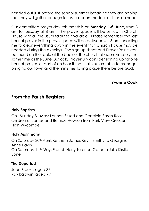handed out just before the school summer break so they are hoping that they will gather enough funds to accommodate all those in need.

Our committed prayer day this month is on **Monday, 13th June,** from 8 am to Tuesday at 8 am. The prayer space will be set up in Church House with all the usual facilities available. Please remember the last hour of prayer in the prayer space will be between 4 – 5 pm, enabling me to clear everything away in the event that Church House may be needed during the evening. The sign-up sheet and Prayer Points can be found on the table at the back of the church at approximately the same time as the June Outlook. Prayerfully consider signing up for one hour of prayer, or part of an hour if that's all you are able to manage, bringing our town and the ministries taking place there before God.

**Yvonne Cook**

### **From the Parish Registers**

#### **Holy Baptism**

On Sunday 8<sup>th</sup> May: Lennon Stuart and Carteleia Sarah Rose, children of James and Bernice Hewson from Park View Crescent, High Wycombe

#### **Holy Matrimony**

On Saturday 30<sup>th</sup> April: Kenneth James Kevin Smithy to Georgina Anne Bavin On Saturday 14th May: Francis Harry Terence Gater to Julia Kirstie Bone

#### **The Departed**

Joan Brooks, aged 89 Roy Baldwin, aged 79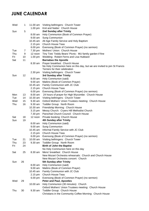### **JUNE CALENDAR**

| Wed | 1  | 11.00 am  | Visiting bellringers: Church Tower                                                  |
|-----|----|-----------|-------------------------------------------------------------------------------------|
|     |    | $1.00$ pm | Knit and Natter: Church House                                                       |
| Sun | 5  |           | 2nd Sunday after Trinity                                                            |
|     |    | 8.00 am   | Holy Communion (Book of Common Prayer)                                              |
|     |    | 9.00 am   | Sung Communion                                                                      |
|     |    | 10.45 am  | All Age Family Service and Holy Baptism                                             |
|     |    | 2.15 pm   | <b>Church House Teas</b>                                                            |
|     |    | 6.00 pm   | Evensong (Book of Common Prayer) (no sermon)                                        |
| Tue | 7  | 7.30 pm   | Mothers' Union: Church House                                                        |
| Thu | 9  | 12 noon   | Tiny Tots' Teddy Bears' Picnic: MU family garden if fine                            |
| Fri | 10 | $1.00$ pm | Wedding: Robert Ferns and Lisa Hubbard                                              |
| Sat | 11 |           | <b>Barnabas the Apostle</b>                                                         |
|     |    | 8.30 am   | Prayer breakfast: Church House                                                      |
|     |    |           | No Holy Communion here on this day, but we are invited to join St Francis           |
|     |    |           | Terriers for their celebration                                                      |
|     |    | 2.30 pm   | Visiting bellringers: Church Tower                                                  |
| Sun | 12 |           | 3rd Sunday after Trinity                                                            |
|     |    | $8.00$ am | Holy Communion (said)                                                               |
|     |    | $9.00$ am | Mattins (Book of Common Prayer)                                                     |
|     |    | 10.45 am  | Family Communion with JC Club                                                       |
|     |    | 2.15 pm   | <b>Church House Teas</b>                                                            |
|     |    | 6.00 pm   | Evensong (Book of Common Prayer) (no sermon)                                        |
| Mon | 13 | 8.00 am   | 24 hours of prayer for High Wycombe: Church House                                   |
| Tue | 14 | 10.30 am  | Visiting bellringers: Church Tower                                                  |
| Wed | 15 | 9.30 am   | Oxford Mothers' Union Trustees meeting: Church House                                |
| Thu | 16 | 9.30 am   | Toddler Group: North Room                                                           |
|     |    | 10.30 am  | Friendship Morning: Church House                                                    |
|     |    | 3.15 pm   | Messy Church: Cryers Hill Methodist Church                                          |
|     |    | 7.30 pm   | Parochial Church Council: Church House                                              |
| Sat | 18 | 12 noon   | Private booking: Church House                                                       |
| Sun | 19 |           | <b>4th Sunday after Trinity</b>                                                     |
|     |    | $8.00$ am | Holy Communion (said)                                                               |
|     |    | 9.00 am   | <b>Sung Communion</b>                                                               |
|     |    | 10.45 am  | Informal Family Service with JC Club                                                |
|     |    | 2.15 pm   | <b>Church House Teas</b>                                                            |
|     |    | 6.00 pm   | Evensong (Book of Common Prayer) (no sermon)                                        |
| Tue | 21 | 10.00 am  | Visiting bellringers: Church Tower                                                  |
| Thu | 23 | 9.30 am   | Toddler Group: North Room                                                           |
| Fri | 24 |           | <b>Birth of John the Baptist</b>                                                    |
|     |    |           | No Holy Communion here on this day                                                  |
| Sat | 25 | 8.30 am   | Mens' breakfast: Church House                                                       |
|     |    |           | New Mozart Orchestra rehearsals: Church and Church House                            |
|     |    |           | New Mozart Orchestra concert: Church                                                |
| Sun | 26 |           | 5th Sunday after Trinity                                                            |
|     |    | $8.00$ am | Holy Communion (said)                                                               |
|     |    | 9.00 am   | Mattins (Book of Common Prayer)                                                     |
|     |    | 10.45 am  | Family Communion with JC Club                                                       |
|     |    | 2.15 pm   | <b>Church House Teas</b>                                                            |
|     |    |           |                                                                                     |
| Wed | 29 | 6.00 pm   | Evensong (Book of Common Prayer) (no sermon)<br><b>Peter and Paul, Apostles</b>     |
|     |    | 10.00 am  | Holy Communion (30 minutes): Church                                                 |
|     |    |           |                                                                                     |
|     |    |           | Oxford Mothers' Union Trustees meeting: Church House<br>Toddler Group: Church House |
| Thu | 30 | $9.30$ am |                                                                                     |
|     |    |           | Christians in the Community Coffee Morning: Church House                            |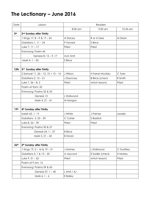# **The Lectionary – June 2016**

| Date             | Lesson                                  | Readers        |                       |           |
|------------------|-----------------------------------------|----------------|-----------------------|-----------|
|                  |                                         | 8.00 am        | 9.00 am               | 10.45 am  |
| 5 <sup>th</sup>  | 2 <sup>nd</sup> Sunday after Trinity    |                |                       |           |
|                  | 1 Kings 17, $8 - 9$ & 17 - 24           | A Stacey       | R or A Gee            | M Dean    |
|                  | Galatians $1, 11 - 24$                  | P Hynard       | S Brice               |           |
|                  | Luke $7, 11 - 17$                       | Priest         | Priest                |           |
|                  | Evensong: Psalm 44                      |                |                       |           |
|                  | Genesis 8, 15 - 9, 17                   | AJ/L Smit      |                       |           |
|                  | Mark 4, 1 - 20                          | S Brice        |                       |           |
|                  |                                         |                |                       |           |
| 12 <sub>th</sub> | 3rd Sunday after Trinity                |                |                       |           |
|                  | 2 Samuel 11, $26 - 12$ , $10 + 13 - 15$ | J Wilson       | H Farrar-Hockley      | C Tyrer   |
|                  | Galatians 2, 15 - 21                    | J Dauncey      | <b>B</b> Brice (check | R Smith   |
|                  | Luke $7, 36 - 8, 3$                     | Priest         | which lesson)         | Priest    |
|                  | Psalm at 9am: 32                        |                |                       |           |
|                  | Evensong: Psalms 52 & 53                |                |                       |           |
|                  | Genesis 13                              | L Stallwood    |                       |           |
|                  | Mark 4, 21 - 41                         | M Morgan       |                       |           |
|                  |                                         |                |                       |           |
| 19 <sup>th</sup> | 4th Sunday after Trinity                |                |                       |           |
|                  | Isaiah 65, $1 - 9$                      | J White        | J Palmer              | Leader    |
|                  | Galatians 3, 23 - 29                    | C Carter       | S Badrick             |           |
|                  | Luke $8, 26 - 39$                       | Priest         | Priest                |           |
|                  | Evensong: Psalms 50 & 57                |                |                       |           |
|                  | Genesis 24, 1 - 27                      | <b>B</b> Brice |                       |           |
|                  | Mark 5, 21 - 43                         | <b>B</b> Doran |                       |           |
|                  |                                         |                |                       |           |
| 26 <sup>th</sup> | 5th Sunday after Trinity                |                |                       |           |
|                  | 1 Kings 19, 5 - 16 & 19 - 21            | J Holmes       | L Stallwood           | C Godfrey |
|                  | Galatians 5, 1 & 13 - 25                | A Jaycock      | E Sadler (check       | H Morley  |
|                  | Luke $9, 51 - 62$                       | Priest         | which lesson)         | Priest    |
|                  | Psalm at 9 am: 16                       |                |                       |           |
|                  | Evensong: Psalms 59 & 60                |                |                       |           |
|                  | Genesis 27, 1 - 40                      | L Smit / AJ    |                       |           |
|                  | Mark 6, 1 - 6                           | E Bailey       |                       |           |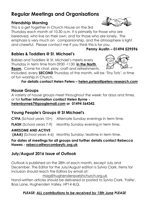# **Regular Meetings and Organisations**

#### **Friendship Morning**

This is a get together in Church House on the 3rd

Thursday each month at 10.30 a.m. It is primarily for those who are bereaved, who live on their own, and for those who are lonely. The emphasis is very much on companionship, and the atmosphere is light and cheerful. Please contact me if you think this is for you.

### **Babies & Toddlers @ St. Michael's**

Babies and Toddlers @ St. Michael's meets every Thursday in term time from 0930 -1130 **in the North Room**. Come for chat, play, craft and refreshments.

Included, every **SECOND** Thursday of the month, will be 'Tiny Tots', a time of fun worship in Church**.**

#### **For details contact Helen Peters – [helen.peters@peters-research.com](mailto:helen.peters@peters-research.com)**

#### **House Groups**

A variety of house groups meet throughout the week: for days and times, or for **further information contact Helen Byrne -**

**[helenbyrne67@googlemail.com](javascript:handleMailto() or 01494 564342.**

#### **Young People's Groups @ St Michael's**

**CYFA** (School years 10+) Alternate Sunday evenings in term time.

**FLASH** (School years 7-9) Monthly Sunday evening in term time.

#### **AWESOME AND ACTIVE**

**(AAA)** (School years 4-6) Monthly Sunday: teatime in term time.

**For dates of meetings for all groups and further details contact Rebecca Hawes - rebecca[@wycombeyfc.org.uk](http://wycombeyfc.org.uk/)**

#### **July/August 2016 Issue of** *Outlook*

*Outlook* is published on the 28th of each month, except July and December. The Editor for the July/August edition is Sylvia Clark. Items for inclusion should reach the Editors by email at:

[mag@hughendenparishchurch.org.uk](mailto:mag@hughendenparishchurch.org.uk)

Hand-written articles should be delivered or posted to Sylvia Clark, 'Failte', Boss Lane, Hughenden Valley, HP14 4LQ.

#### *PLEASE: ALL contributions to be received by 15th June PLEASE*





**Penny Austin – 01494 529596**

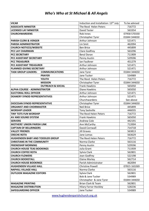#### *Who's Who at St Michael & All Angels*

| <b>VICAR</b>                                        | Induction and Installation: 13 <sup>th</sup> July | To be advised |
|-----------------------------------------------------|---------------------------------------------------|---------------|
| <b>ASSOCIATE MINISTER</b>                           | The Revd Helen Peters                             | 716772        |
| <b>LICENSED LAY MINISTER</b>                        | David Tester                                      | 563354        |
| <b>CHURCHWARDENS</b>                                | Rob Innes                                         | 07958 570330  |
|                                                     | Christopher Tyrer                                 | 01844 344650  |
| <b>PARISH CLERK &amp; VERGER</b>                    | Arthur Johnson                                    | 521471        |
| <b>PARISH ADMINISTRATOR</b>                         | Lin Smit                                          | 462094        |
| <b>CHURCH NOTICES/WEBSITE</b>                       | <b>Ben Brice</b>                                  | 445899        |
| PCC LAY CHAIRMAN                                    | Clare Godfrey                                     | 563296        |
| <b>PCC SECRETARY</b>                                | Beryl Doran                                       | 711909        |
| PCC ASSISTANT SECRETARY                             | Penny Austin                                      | 529596        |
| <b>PCC TREASURER</b>                                | Ian Faulkner                                      | 451279        |
| PCC ASSISTANT TREASURER                             | Arthur Johnson                                    | 521471        |
| PLANNED GIVING SECRETARY                            | Arthur Johnson                                    | 521471        |
| <b>TASK GROUP LEADERS:</b><br><b>COMMUNICATIONS</b> | Jane Tyrer                                        | 01844 344650  |
| <b>PRAYER</b>                                       | Jane Tucker                                       | 534989        |
| <b>YOUTH</b>                                        | The Revd Helen Peters                             | 716772        |
| <b>MISSION</b>                                      | Christopher Tyrer                                 | 01844 344650  |
| <b>OUTREACH &amp; SOCIAL</b>                        | <b>Frank Hawkins</b>                              | 565050        |
| <b>ALPHA COURSE - ADMINISTRATOR</b>                 | Diane Hawkins                                     | 565050        |
| <b>ELECTORAL ROLL OFFICER</b>                       | Arthur Johnson                                    | 521471        |
| <b>DEANERY SYNOD REPRESENTATIVES</b>                | Arthur Johnson                                    | 521471        |
|                                                     | Churchwardens                                     | See above     |
| DIOCESAN SYNOD REPRESENTATIVE                       | Christopher Tyrer                                 | 01844 344650  |
| <b>ORGANIST AND CHOIRMASTER</b>                     | <b>Neil Brice</b>                                 | 445899        |
| <b>WORSHIP LEADER</b>                               | <b>Tony Sackville</b>                             | 446035        |
| <b>TINY TOTS FUN WORSHIP</b>                        | The Revd Helen Peters                             | 716772        |
| AV AND SOUND SYSTEM                                 | <b>Frank Hawkins</b>                              | 565050        |
| <b>SERVERS</b>                                      | Andrew Cole                                       | 442191        |
| <b>MOTHERS' UNION PARISH LINK</b>                   | Ann McCarthy                                      | 712004        |
| <b>CAPTAIN OF BELLRINGERS</b>                       | David Cornwall                                    | 714718        |
| <b>VALLEY FRIENDS</b>                               | <b>Jill Graves</b>                                | 563813        |
| <b>CRECHE ROTA</b>                                  | Jane Lomas                                        | 563629        |
| HUGHENDEN BABY AND TODDLER GROUP                    | The Revd Helen Peters                             | 716772        |
| <b>CHRISTIANS IN THE COMMUNITY</b>                  | Norma Clarke                                      | 563116        |
| <b>FRIENDSHIP MORNING</b>                           | Penny Austin                                      | 529596        |
| <b>CHURCH HOUSE TEAS BOOKINGS</b>                   | Julia Grant                                       | 711939        |
| <b>CHURCH COFFEE ROTA</b>                           | Sylvia Clark                                      | 562801        |
| <b>CHURCH FLOWERS</b>                               | Jean Godfrey                                      | 522198        |
| <b>CHURCH BOOKSTALL</b>                             | <b>Elaine Morley</b>                              | 562714        |
| <b>CHURCH HOUSE BOOKINGS</b>                        | Parish Administrator                              | 462094        |
| <b>HUGHENDEN VILLAGE HALL</b>                       | <b>Christine Powell</b>                           | 07815 163269  |
| <b>NAPHILL VILLAGE HALL</b>                         | Norma Clarke                                      | 563116        |
| <b>OUTLOOK MAGAZINE EDITORS</b>                     | Sylvia Clark                                      | 562801        |
|                                                     | <b>Bob &amp; Jane Tucker</b>                      | 534989        |
|                                                     | Christopher & Jane Tyrer                          | 01844 344650  |
| <b>MAGAZINE PRINTING</b>                            | Brian Clark & Team                                | 562801        |
| <b>MAGAZINE DISTRIBUTION</b>                        | <b>Hilary Farrar-Hockley</b>                      | 528236        |
| <b>SAFEGUARDING OFFICER</b>                         | Jane Tucker                                       | 534989        |